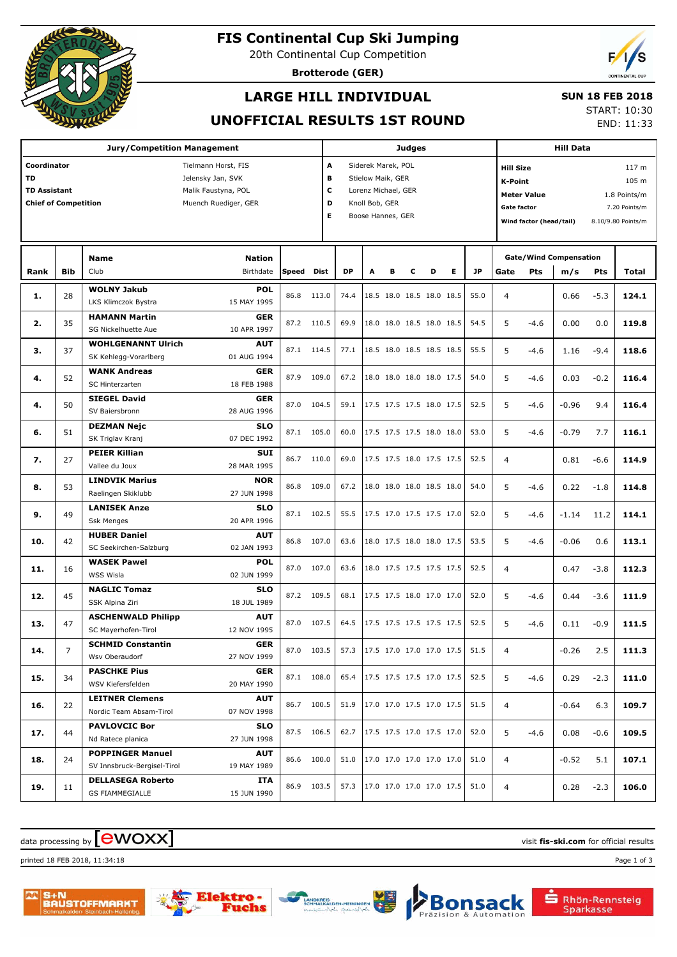

# **FIS Continental Cup Ski Jumping**

20th Continental Cup Competition

**Brotterode (GER)**



## **LARGE HILL INDIVIDUAL**

#### **SUN 18 FEB 2018**

**UNOFFICIAL RESULTS 1ST ROUND**

START: 10:30 END: 11:33

| <b>Jury/Competition Management</b>                  |            |                             |               |       |            |                          | <b>Judges</b>      |   |   |                                 |   |                           |                                     | <b>Hill Data</b>        |                               |        |                    |  |  |
|-----------------------------------------------------|------------|-----------------------------|---------------|-------|------------|--------------------------|--------------------|---|---|---------------------------------|---|---------------------------|-------------------------------------|-------------------------|-------------------------------|--------|--------------------|--|--|
| Coordinator<br>Tielmann Horst, FIS<br>А             |            |                             |               |       |            |                          | Siderek Marek, POL |   |   |                                 |   | <b>Hill Size</b><br>117 m |                                     |                         |                               |        |                    |  |  |
| <b>TD</b><br>Jelensky Jan, SVK                      |            |                             |               |       |            | в<br>Stielow Maik, GER   |                    |   |   |                                 |   |                           |                                     | <b>K-Point</b><br>105 m |                               |        |                    |  |  |
| <b>TD Assistant</b><br>Malik Faustyna, POL          |            |                             |               |       |            | C<br>Lorenz Michael, GER |                    |   |   |                                 |   |                           | <b>Meter Value</b><br>1.8 Points/m  |                         |                               |        |                    |  |  |
| <b>Chief of Competition</b><br>Muench Ruediger, GER |            |                             |               |       | D          |                          | Knoll Bob, GER     |   |   |                                 |   |                           | <b>Gate factor</b><br>7.20 Points/m |                         |                               |        |                    |  |  |
|                                                     |            |                             |               |       | Е          |                          | Boose Hannes, GER  |   |   |                                 |   |                           |                                     | Wind factor (head/tail) |                               |        | 8.10/9.80 Points/m |  |  |
|                                                     |            |                             |               |       |            |                          |                    |   |   |                                 |   |                           |                                     |                         |                               |        |                    |  |  |
|                                                     |            |                             |               |       |            |                          |                    |   |   |                                 |   |                           |                                     |                         |                               |        |                    |  |  |
|                                                     |            | <b>Name</b>                 | <b>Nation</b> |       |            |                          |                    |   |   |                                 |   |                           |                                     |                         | <b>Gate/Wind Compensation</b> |        |                    |  |  |
| Rank                                                | <b>Bib</b> | Club                        | Birthdate     | Speed | Dist       | <b>DP</b>                | A                  | в | c | D                               | Е | <b>JP</b>                 | Gate                                | Pts                     | m/s                           | Pts    | Total              |  |  |
| 1.                                                  | 28         | <b>WOLNY Jakub</b>          | <b>POL</b>    | 86.8  | 113.0      | 74.4                     |                    |   |   | 18.5 18.0 18.5 18.0 18.5        |   | 55.0                      | $\overline{4}$                      |                         | 0.66                          | $-5.3$ | 124.1              |  |  |
|                                                     |            | LKS Klimczok Bystra         | 15 MAY 1995   |       |            |                          |                    |   |   |                                 |   |                           |                                     |                         |                               |        |                    |  |  |
| 2.                                                  | 35         | <b>HAMANN Martin</b>        | <b>GER</b>    | 87.2  | 110.5      | 69.9                     |                    |   |   | 18.0 18.0 18.5 18.0 18.5        |   | 54.5                      | 5                                   | $-4.6$                  | 0.00                          | 0.0    | 119.8              |  |  |
|                                                     |            | SG Nickelhuette Aue         | 10 APR 1997   |       |            |                          |                    |   |   |                                 |   |                           |                                     |                         |                               |        |                    |  |  |
| з.                                                  | 37         | <b>WOHLGENANNT Ulrich</b>   | <b>AUT</b>    | 87.1  | 114.5      | 77.1                     |                    |   |   | 18.5 18.0 18.5 18.5 18.5        |   | 55.5                      | 5                                   | $-4.6$                  | 1.16                          | $-9.4$ | 118.6              |  |  |
|                                                     |            | SK Kehlegg-Vorarlberg       | 01 AUG 1994   |       |            |                          |                    |   |   |                                 |   |                           |                                     |                         |                               |        |                    |  |  |
| 4.                                                  | 52         | <b>WANK Andreas</b>         | <b>GER</b>    | 87.9  | 109.0      | 67.2                     |                    |   |   | 18.0 18.0 18.0 18.0 17.5        |   | 54.0                      | 5                                   | $-4.6$                  | 0.03                          | $-0.2$ | 116.4              |  |  |
|                                                     |            | SC Hinterzarten             | 18 FEB 1988   |       |            |                          |                    |   |   |                                 |   |                           |                                     |                         |                               |        |                    |  |  |
| 4.                                                  | 50         | <b>SIEGEL David</b>         | <b>GER</b>    | 87.0  | 104.5      | 59.1                     |                    |   |   | 17.5 17.5 17.5 18.0 17.5        |   | 52.5                      | 5                                   | $-4.6$                  | $-0.96$                       | 9.4    | 116.4              |  |  |
|                                                     |            | SV Baiersbronn              | 28 AUG 1996   |       |            |                          |                    |   |   |                                 |   |                           |                                     |                         |                               |        |                    |  |  |
| 6.                                                  | 51         | <b>DEZMAN Nejc</b>          | <b>SLO</b>    | 87.1  | 105.0      | 60.0                     |                    |   |   | 17.5 17.5 17.5 18.0 18.0        |   | 53.0                      | 5                                   | $-4.6$                  | -0.79                         | 7.7    | 116.1              |  |  |
|                                                     |            | SK Triglav Kranj            | 07 DEC 1992   |       |            |                          |                    |   |   |                                 |   |                           |                                     |                         |                               |        |                    |  |  |
| 7.                                                  | 27         | <b>PEIER Killian</b>        | <b>SUI</b>    | 86.7  | 110.0      | 69.0                     |                    |   |   | 17.5 17.5 18.0 17.5 17.5        |   | 52.5                      | $\overline{4}$                      |                         | 0.81                          | $-6.6$ | 114.9              |  |  |
|                                                     |            | Vallee du Joux              | 28 MAR 1995   |       |            |                          |                    |   |   |                                 |   |                           |                                     |                         |                               |        |                    |  |  |
| 8.                                                  | 53         | <b>LINDVIK Marius</b>       | <b>NOR</b>    | 86.8  | 109.0      | 67.2                     |                    |   |   | 18.0 18.0 18.0 18.5 18.0        |   | 54.0                      | 5                                   | $-4.6$                  | 0.22                          | $-1.8$ | 114.8              |  |  |
|                                                     |            | Raelingen Skiklubb          | 27 JUN 1998   |       |            |                          |                    |   |   |                                 |   |                           |                                     |                         |                               |        |                    |  |  |
| 9.                                                  | 49         | <b>LANISEK Anze</b>         | <b>SLO</b>    | 87.1  | 102.5      | 55.5                     |                    |   |   | 17.5 17.0 17.5 17.5 17.0        |   | 52.0                      | 5                                   | $-4.6$                  | $-1.14$                       | 11.2   | 114.1              |  |  |
|                                                     |            | <b>Ssk Menges</b>           | 20 APR 1996   |       |            |                          |                    |   |   |                                 |   |                           |                                     |                         |                               |        |                    |  |  |
| 10.                                                 | 42         | <b>HUBER Daniel</b>         | <b>AUT</b>    | 86.8  | 107.0      | 63.6                     |                    |   |   | 18.0 17.5 18.0 18.0 17.5        |   | 53.5                      | 5                                   | $-4.6$                  | $-0.06$                       | 0.6    | 113.1              |  |  |
|                                                     |            | SC Seekirchen-Salzburg      | 02 JAN 1993   |       |            |                          |                    |   |   |                                 |   |                           |                                     |                         |                               |        |                    |  |  |
| 11.                                                 | 16         | <b>WASEK Pawel</b>          | <b>POL</b>    | 87.0  | 107.0      | 63.6                     |                    |   |   | 18.0 17.5 17.5 17.5 17.5        |   | 52.5                      | $\overline{4}$                      |                         | 0.47                          | $-3.8$ | 112.3              |  |  |
|                                                     |            | WSS Wisla                   | 02 JUN 1999   |       |            |                          |                    |   |   |                                 |   |                           |                                     |                         |                               |        |                    |  |  |
| 12.                                                 | 45         | <b>NAGLIC Tomaz</b>         | SLO           | 87.2  | 109.5      | 68.1                     |                    |   |   | 17.5 17.5 18.0 17.0 17.0        |   | 52.0                      | 5                                   | $-4.6$                  | 0.44                          | $-3.6$ | 111.9              |  |  |
|                                                     |            | SSK Alpina Ziri             | 18 JUL 1989   |       |            |                          |                    |   |   |                                 |   |                           |                                     |                         |                               |        |                    |  |  |
| 13.                                                 | 47         | <b>ASCHENWALD Philipp</b>   | <b>AUT</b>    | 87.0  | 107.5      | 64.5                     |                    |   |   | 17.5 17.5 17.5 17.5 17.5        |   | 52.5                      | 5                                   | $-4.6$                  | 0.11                          | $-0.9$ | 111.5              |  |  |
|                                                     |            | SC Mayerhofen-Tirol         | 12 NOV 1995   |       |            |                          |                    |   |   |                                 |   |                           |                                     |                         |                               |        |                    |  |  |
| 14.                                                 |            | <b>SCHMID Constantin</b>    | <b>GER</b>    |       | 87.0 103.5 |                          |                    |   |   | 57.3 17.5 17.0 17.0 17.0 17.5   |   | 51.5                      | 4                                   |                         | $-0.26$                       | 2.5    | 111.3              |  |  |
|                                                     |            | Wsv Oberaudorf              | 27 NOV 1999   |       |            |                          |                    |   |   |                                 |   |                           |                                     |                         |                               |        |                    |  |  |
| 15.                                                 | 34         | <b>PASCHKE Pius</b>         | <b>GER</b>    |       | 87.1 108.0 | 65.4                     |                    |   |   | 17.5 17.5 17.5 17.0 17.5        |   | 52.5                      | 5                                   | $-4.6$                  | 0.29                          | $-2.3$ | 111.0              |  |  |
|                                                     |            | WSV Kiefersfelden           | 20 MAY 1990   |       |            |                          |                    |   |   |                                 |   |                           |                                     |                         |                               |        |                    |  |  |
| 16.                                                 | 22         | <b>LEITNER Clemens</b>      | <b>AUT</b>    |       | 86.7 100.5 | 51.9                     |                    |   |   | 17.0 17.0 17.5 17.0 17.5        |   | 51.5                      | 4                                   |                         | $-0.64$                       | 6.3    | 109.7              |  |  |
|                                                     |            | Nordic Team Absam-Tirol     | 07 NOV 1998   |       |            |                          |                    |   |   |                                 |   |                           |                                     |                         |                               |        |                    |  |  |
| 17.                                                 | 44         | <b>PAVLOVCIC Bor</b>        | <b>SLO</b>    |       | 87.5 106.5 | 62.7                     |                    |   |   | 17.5 17.5 17.0 17.5 17.0        |   | 52.0                      | 5                                   | -4.6                    | 0.08                          | $-0.6$ | 109.5              |  |  |
|                                                     |            | Nd Ratece planica           | 27 JUN 1998   |       |            |                          |                    |   |   |                                 |   |                           |                                     |                         |                               |        |                    |  |  |
| 18.                                                 | 24         | <b>POPPINGER Manuel</b>     | AUT           |       | 86.6 100.0 | 51.0                     |                    |   |   | 17.0 17.0 17.0 17.0 17.0        |   | 51.0                      | 4                                   |                         | $-0.52$                       | 5.1    | 107.1              |  |  |
|                                                     |            | SV Innsbruck-Bergisel-Tirol | 19 MAY 1989   |       |            |                          |                    |   |   |                                 |   |                           |                                     |                         |                               |        |                    |  |  |
| 19.                                                 | 11         | <b>DELLASEGA Roberto</b>    | ITA           |       | 86.9 103.5 |                          |                    |   |   |                                 |   | 51.0                      | $\overline{4}$                      |                         | 0.28                          | $-2.3$ | 106.0              |  |  |
|                                                     |            | <b>GS FIAMMEGIALLE</b>      | 15 JUN 1990   |       |            |                          |                    |   |   | 57.3   17.0 17.0 17.0 17.0 17.5 |   |                           |                                     |                         |                               |        |                    |  |  |

## $\alpha$  data processing by  $\boxed{\text{ewOX}}$

printed 18 FEB 2018, 11:34:18 Page 1 of 3







Rhön-Rennsteig<br>Sparkasse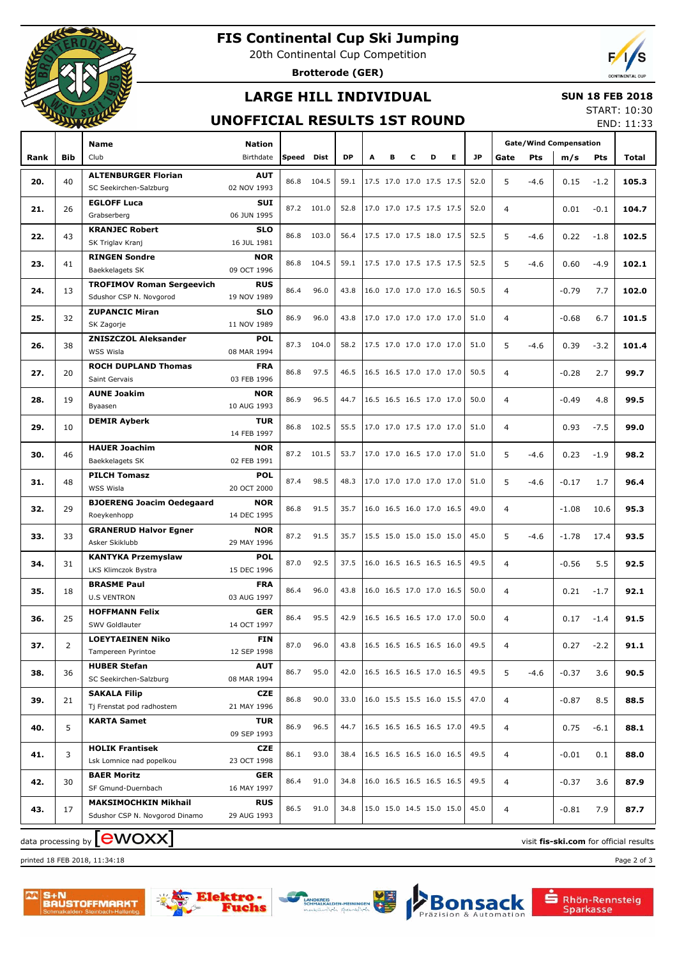

# **FIS Continental Cup Ski Jumping**

20th Continental Cup Competition

**Brotterode (GER)**



### **LARGE HILL INDIVIDUAL**

#### **SUN 18 FEB 2018**

### **UNOFFICIAL RESULTS 1ST ROUND**

START: 10:30 END: 11:33

|      | ----       |                                                             |                           |            |            |           |   |   |                          |   |   |           |                |        |                               |        | ᄂ៲៴៴. ⊥⊥.ၪ |
|------|------------|-------------------------------------------------------------|---------------------------|------------|------------|-----------|---|---|--------------------------|---|---|-----------|----------------|--------|-------------------------------|--------|------------|
|      |            | Name                                                        | Nation                    |            |            |           |   |   |                          |   |   | <b>JP</b> |                |        | <b>Gate/Wind Compensation</b> |        |            |
| Rank | <b>Bib</b> | Club                                                        | Birthdate                 | Speed Dist |            | <b>DP</b> | А | в | c                        | D | Е |           | Gate           | Pts    | m/s                           | Pts    | Total      |
| 20.  | 40         | <b>ALTENBURGER Florian</b>                                  | <b>AUT</b>                |            | 86.8 104.5 | 59.1      |   |   | 17.5 17.0 17.0 17.5 17.5 |   |   | 52.0      | 5              | $-4.6$ | 0.15                          | $-1.2$ | 105.3      |
|      |            | SC Seekirchen-Salzburg                                      | 02 NOV 1993               |            |            |           |   |   |                          |   |   |           |                |        |                               |        |            |
| 21.  | 26         | <b>EGLOFF Luca</b>                                          | SUI                       |            | 87.2 101.0 | 52.8      |   |   | 17.0 17.0 17.5 17.5 17.5 |   |   | 52.0      | 4              |        | 0.01                          | $-0.1$ | 104.7      |
|      |            | Grabserberg                                                 | 06 JUN 1995               |            |            |           |   |   |                          |   |   |           |                |        |                               |        |            |
| 22.  | 43         | <b>KRANJEC Robert</b>                                       | <b>SLO</b>                |            | 86.8 103.0 | 56.4      |   |   | 17.5 17.0 17.5 18.0 17.5 |   |   | 52.5      | 5              | $-4.6$ | 0.22                          | $-1.8$ | 102.5      |
|      |            | SK Triglav Kranj                                            | 16 JUL 1981               |            |            |           |   |   |                          |   |   |           |                |        |                               |        |            |
| 23.  | 41         | <b>RINGEN Sondre</b>                                        | <b>NOR</b><br>09 OCT 1996 |            | 86.8 104.5 | 59.1      |   |   | 17.5 17.0 17.5 17.5 17.5 |   |   | 52.5      | 5              | $-4.6$ | 0.60                          | $-4.9$ | 102.1      |
|      |            | Baekkelagets SK                                             | <b>RUS</b>                |            |            |           |   |   |                          |   |   |           |                |        |                               |        |            |
| 24.  | 13         | <b>TROFIMOV Roman Sergeevich</b><br>Sdushor CSP N. Novgorod | 19 NOV 1989               | 86.4       | 96.0       | 43.8      |   |   | 16.0 17.0 17.0 17.0 16.5 |   |   | 50.5      | 4              |        | $-0.79$                       | 7.7    | 102.0      |
|      |            | <b>ZUPANCIC Miran</b>                                       | <b>SLO</b>                |            |            |           |   |   |                          |   |   |           |                |        |                               |        |            |
| 25.  | 32         | SK Zagorje                                                  | 11 NOV 1989               | 86.9       | 96.0       | 43.8      |   |   | 17.0 17.0 17.0 17.0 17.0 |   |   | 51.0      | 4              |        | $-0.68$                       | 6.7    | 101.5      |
|      |            | <b>ZNISZCZOL Aleksander</b>                                 | <b>POL</b>                |            |            |           |   |   |                          |   |   |           |                |        |                               |        |            |
| 26.  | 38         | WSS Wisla                                                   | 08 MAR 1994               |            | 87.3 104.0 | 58.2      |   |   | 17.5 17.0 17.0 17.0 17.0 |   |   | 51.0      | 5              | $-4.6$ | 0.39                          | $-3.2$ | 101.4      |
|      |            | <b>ROCH DUPLAND Thomas</b>                                  | <b>FRA</b>                |            |            |           |   |   |                          |   |   |           |                |        |                               |        |            |
| 27.  | 20         | Saint Gervais                                               | 03 FEB 1996               | 86.8       | 97.5       | 46.5      |   |   | 16.5 16.5 17.0 17.0 17.0 |   |   | 50.5      | 4              |        | $-0.28$                       | 2.7    | 99.7       |
|      |            | <b>AUNE Joakim</b>                                          | <b>NOR</b>                | 86.9       | 96.5       | 44.7      |   |   | 16.5 16.5 16.5 17.0 17.0 |   |   | 50.0      |                |        |                               |        |            |
| 28.  | 19         | Byaasen                                                     | 10 AUG 1993               |            |            |           |   |   |                          |   |   |           | 4              |        | $-0.49$                       | 4.8    | 99.5       |
| 29.  | 10         | <b>DEMIR Ayberk</b>                                         | <b>TUR</b>                | 86.8       | 102.5      | 55.5      |   |   | 17.0 17.0 17.5 17.0 17.0 |   |   | 51.0      | 4              |        | 0.93                          | $-7.5$ | 99.0       |
|      |            |                                                             | 14 FEB 1997               |            |            |           |   |   |                          |   |   |           |                |        |                               |        |            |
| 30.  | 46         | <b>HAUER Joachim</b>                                        | <b>NOR</b>                | 87.2       | 101.5      | 53.7      |   |   | 17.0 17.0 16.5 17.0 17.0 |   |   | 51.0      | 5              | $-4.6$ | 0.23                          | $-1.9$ | 98.2       |
|      |            | Baekkelagets SK                                             | 02 FEB 1991               |            |            |           |   |   |                          |   |   |           |                |        |                               |        |            |
| 31.  | 48         | <b>PILCH Tomasz</b>                                         | <b>POL</b>                | 87.4       | 98.5       | 48.3      |   |   | 17.0 17.0 17.0 17.0 17.0 |   |   | 51.0      | 5              | $-4.6$ | $-0.17$                       | 1.7    | 96.4       |
|      |            | <b>WSS Wisla</b>                                            | 20 OCT 2000               |            |            |           |   |   |                          |   |   |           |                |        |                               |        |            |
| 32.  | 29         | <b>BJOERENG Joacim Oedegaard</b>                            | <b>NOR</b>                | 86.8       | 91.5       | 35.7      |   |   | 16.0 16.5 16.0 17.0 16.5 |   |   | 49.0      | 4              |        | $-1.08$                       | 10.6   | 95.3       |
|      |            | Roeykenhopp<br><b>GRANERUD Halvor Egner</b>                 | 14 DEC 1995<br><b>NOR</b> |            |            |           |   |   |                          |   |   |           |                |        |                               |        |            |
| 33.  | 33         | Asker Skiklubb                                              | 29 MAY 1996               | 87.2       | 91.5       | 35.7      |   |   | 15.5 15.0 15.0 15.0 15.0 |   |   | 45.0      | 5              | $-4.6$ | $-1.78$                       | 17.4   | 93.5       |
|      |            | <b>KANTYKA Przemyslaw</b>                                   | <b>POL</b>                |            |            |           |   |   |                          |   |   |           |                |        |                               |        |            |
| 34.  | 31         | LKS Klimczok Bystra                                         | 15 DEC 1996               | 87.0       | 92.5       | 37.5      |   |   | 16.0 16.5 16.5 16.5 16.5 |   |   | 49.5      | 4              |        | $-0.56$                       | 5.5    | 92.5       |
|      |            | <b>BRASME Paul</b>                                          | <b>FRA</b>                |            |            |           |   |   |                          |   |   |           |                |        |                               |        |            |
| 35.  | 18         | <b>U.S VENTRON</b>                                          | 03 AUG 1997               | 86.4       | 96.0       | 43.8      |   |   | 16.0 16.5 17.0 17.0 16.5 |   |   | 50.0      | 4              |        | 0.21                          | $-1.7$ | 92.1       |
|      |            | <b>HOFFMANN Felix</b>                                       | <b>GER</b>                |            |            |           |   |   |                          |   |   |           |                |        |                               |        |            |
| 36.  | 25         | SWV Goldlauter                                              | 14 OCT 1997               | 86.4       | 95.5       | 42.9      |   |   | 16.5 16.5 16.5 17.0 17.0 |   |   | 50.0      | 4              |        | 0.17                          | $-1.4$ | 91.5       |
| 37.  | 2          | <b>LOEYTAEINEN Niko</b>                                     | <b>FIN</b>                | 87.0       | 96.0       | 43.8      |   |   | 16.5 16.5 16.5 16.5 16.0 |   |   | 49.5      | 4              |        | 0.27                          | $-2.2$ | 91.1       |
|      |            | Tampereen Pyrintoe                                          | 12 SEP 1998               |            |            |           |   |   |                          |   |   |           |                |        |                               |        |            |
| 38.  | 36         | <b>HUBER Stefan</b>                                         | <b>AUT</b>                | 86.7       | 95.0       | 42.0      |   |   | 16.5 16.5 16.5 17.0 16.5 |   |   | 49.5      | 5              | $-4.6$ | $-0.37$                       | 3.6    | 90.5       |
|      |            | SC Seekirchen-Salzburg                                      | 08 MAR 1994               |            |            |           |   |   |                          |   |   |           |                |        |                               |        |            |
| 39.  | 21         | <b>SAKALA Filip</b>                                         | CZE                       | 86.8       | 90.0       | 33.0      |   |   | 16.0 15.5 15.5 16.0 15.5 |   |   | 47.0      | $\overline{4}$ |        | $-0.87$                       | 8.5    | 88.5       |
|      |            | Tj Frenstat pod radhostem                                   | 21 MAY 1996               |            |            |           |   |   |                          |   |   |           |                |        |                               |        |            |
| 40.  | 5          | <b>KARTA Samet</b>                                          | TUR                       | 86.9       | 96.5       | 44.7      |   |   | 16.5 16.5 16.5 16.5 17.0 |   |   | 49.5      | $\overline{4}$ |        | 0.75                          | $-6.1$ | 88.1       |
|      |            |                                                             | 09 SEP 1993               |            |            |           |   |   |                          |   |   |           |                |        |                               |        |            |
| 41.  | 3          | <b>HOLIK Frantisek</b><br>Lsk Lomnice nad popelkou          | CZE                       | 86.1       | 93.0       | 38.4      |   |   | 16.5 16.5 16.5 16.0 16.5 |   |   | 49.5      | $\overline{4}$ |        | $-0.01$                       | 0.1    | 88.0       |
|      |            | <b>BAER Moritz</b>                                          | 23 OCT 1998               |            |            |           |   |   |                          |   |   |           |                |        |                               |        |            |
| 42.  | 30         | SF Gmund-Duernbach                                          | GER<br>16 MAY 1997        | 86.4       | 91.0       | 34.8      |   |   | 16.0 16.5 16.5 16.5 16.5 |   |   | 49.5      | $\overline{4}$ |        | $-0.37$                       | 3.6    | 87.9       |
|      |            | <b>MAKSIMOCHKIN Mikhail</b>                                 | <b>RUS</b>                |            |            |           |   |   |                          |   |   |           |                |        |                               |        |            |
| 43.  | 17         | Sdushor CSP N. Novgorod Dinamo                              | 29 AUG 1993               | 86.5       | 91.0       | 34.8      |   |   | 15.0 15.0 14.5 15.0 15.0 |   |   | 45.0      | 4              |        | $-0.81$                       | 7.9    | 87.7       |
|      |            |                                                             |                           |            |            |           |   |   |                          |   |   |           |                |        |                               |        |            |

data processing by **CWOXX** and  $\overline{C}$  and  $\overline{C}$  and  $\overline{C}$  and  $\overline{C}$  and  $\overline{C}$  and  $\overline{C}$  and  $\overline{C}$  and  $\overline{C}$  and  $\overline{C}$  and  $\overline{C}$  and  $\overline{C}$  and  $\overline{C}$  and  $\overline{C}$  and  $\overline{C}$  and  $\overline{C}$ 

printed 18 FEB 2018, 11:34:18 Page 2 of 3

S+N<br>BAUSTOFFMARKT







Rhön-Rennsteig<br>Sparkasse

sack

Automation